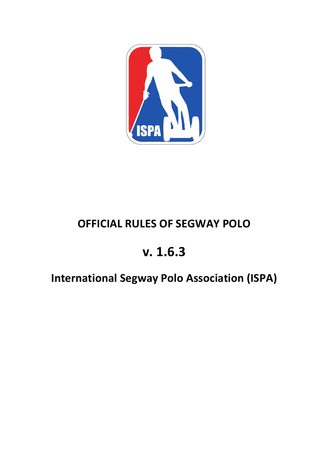

# **OFFICIAL RULES OF SEGWAY POLO**

# **v. 1.6.3**

# **International Segway Polo Association (ISPA)**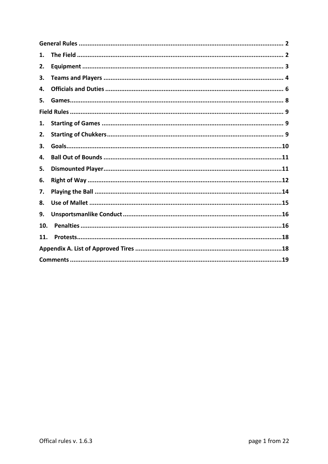| 1.  |  |
|-----|--|
| 2.  |  |
| 3.  |  |
| 4.  |  |
| 5.  |  |
|     |  |
| 1.  |  |
| 2.  |  |
| 3.  |  |
| 4.  |  |
| 5.  |  |
| 6.  |  |
| 7.  |  |
| 8.  |  |
| 9.  |  |
| 10. |  |
| 11. |  |
|     |  |
|     |  |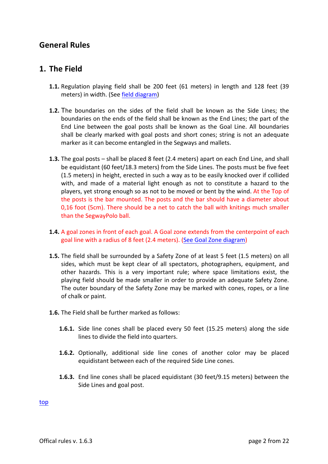# **General Rules**

## **1. The Field**

- **1.1.** Regulation playing field shall be 200 feet (61 meters) in length and 128 feet (39 meters) in width. (See field diagram)
- **1.2.** The boundaries on the sides of the field shall be known as the Side Lines; the boundaries on the ends of the field shall be known as the End Lines; the part of the End Line between the goal posts shall be known as the Goal Line. All boundaries shall be clearly marked with goal posts and short cones; string is not an adequate marker as it can become entangled in the Segways and mallets.
- **1.3.** The goal posts shall be placed 8 feet (2.4 meters) apart on each End Line, and shall be equidistant (60 feet/18.3 meters) from the Side Lines. The posts must be five feet (1.5 meters) in height, erected in such a way as to be easily knocked over if collided with, and made of a material light enough as not to constitute a hazard to the players, yet strong enough so as not to be moved or bent by the wind. At the Top of the posts is the bar mounted. The posts and the bar should have a diameter about 0,16 foot (5cm). There should be a net to catch the ball with knitings much smaller than the SegwayPolo ball.
- **1.4.** A goal zones in front of each goal. A Goal zone extends from the centerpoint of each goal line with a radius of 8 feet (2.4 meters). (See Goal Zone diagram)
- **1.5.** The field shall be surrounded by a Safety Zone of at least 5 feet (1.5 meters) on all sides, which must be kept clear of all spectators, photographers, equipment, and other hazards. This is a very important rule; where space limitations exist, the playing field should be made smaller in order to provide an adequate Safety Zone. The outer boundary of the Safety Zone may be marked with cones, ropes, or a line of chalk or paint.
- **1.6.** The Field shall be further marked as follows:
	- **1.6.1.** Side line cones shall be placed every 50 feet (15.25 meters) along the side lines to divide the field into quarters.
	- **1.6.2.** Optionally, additional side line cones of another color may be placed equidistant between each of the required Side Line cones.
	- **1.6.3.** End line cones shall be placed equidistant (30 feet/9.15 meters) between the Side Lines and goal post.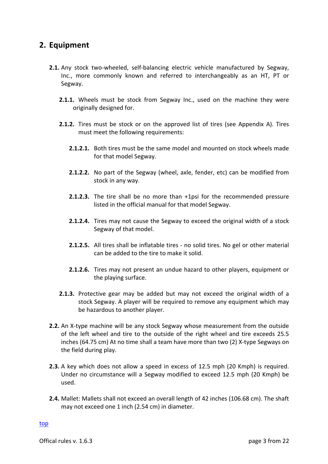#### **2. Equipment**

- **2.1.** Any stock two-wheeled, self-balancing electric vehicle manufactured by Segway, Inc., more commonly known and referred to interchangeably as an HT, PT or Segway.
	- **2.1.1.** Wheels must be stock from Segway Inc., used on the machine they were originally designed for.
	- **2.1.2.** Tires must be stock or on the approved list of tires (see Appendix A). Tires must meet the following requirements:
		- **2.1.2.1.** Both tires must be the same model and mounted on stock wheels made for that model Segway.
		- **2.1.2.2.** No part of the Segway (wheel, axle, fender, etc) can be modified from stock in any way.
		- **2.1.2.3.** The tire shall be no more than +1psi for the recommended pressure listed in the official manual for that model Segway.
		- **2.1.2.4.** Tires may not cause the Segway to exceed the original width of a stock Segway of that model.
		- **2.1.2.5.** All tires shall be inflatable tires no solid tires. No gel or other material can be added to the tire to make it solid.
		- **2.1.2.6.** Tires may not present an undue hazard to other players, equipment or the playing surface.
	- **2.1.3.** Protective gear may be added but may not exceed the original width of a stock Segway. A player will be required to remove any equipment which may be hazardous to another player.
- **2.2.** An X-type machine will be any stock Segway whose measurement from the outside of the left wheel and tire to the outside of the right wheel and tire exceeds 25.5 inches (64.75 cm) At no time shall a team have more than two (2) X-type Segways on the field during play.
- **2.3.** A key which does not allow a speed in excess of 12.5 mph (20 Kmph) is required. Under no circumstance will a Segway modified to exceed 12.5 mph (20 Kmph) be used.
- **2.4.** Mallet: Mallets shall not exceed an overall length of 42 inches (106.68 cm). The shaft may not exceed one  $1$  inch (2.54 cm) in diameter.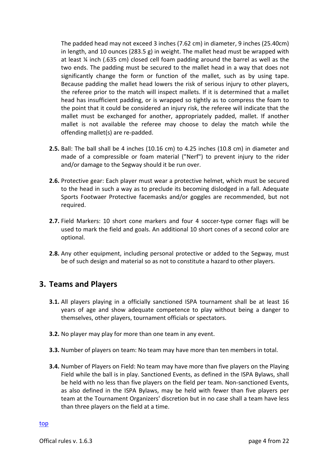The padded head may not exceed 3 inches (7.62 cm) in diameter, 9 inches (25.40cm) in length, and 10 ounces (283.5 g) in weight. The mallet head must be wrapped with at least  $\frac{1}{4}$  inch (.635 cm) closed cell foam padding around the barrel as well as the two ends. The padding must be secured to the mallet head in a way that does not significantly change the form or function of the mallet, such as by using tape. Because padding the mallet head lowers the risk of serious injury to other players, the referee prior to the match will inspect mallets. If it is determined that a mallet head has insufficient padding, or is wrapped so tightly as to compress the foam to the point that it could be considered an injury risk, the referee will indicate that the mallet must be exchanged for another, appropriately padded, mallet. If another mallet is not available the referee may choose to delay the match while the offending mallet(s) are re-padded.

- **2.5.** Ball: The ball shall be 4 inches (10.16 cm) to 4.25 inches (10.8 cm) in diameter and made of a compressible or foam material ("Nerf") to prevent injury to the rider and/or damage to the Segway should it be run over.
- **2.6.** Protective gear: Each player must wear a protective helmet, which must be secured to the head in such a way as to preclude its becoming dislodged in a fall. Adequate Sports Footwaer Protective facemasks and/or goggles are recommended, but not required.
- **2.7.** Field Markers: 10 short cone markers and four 4 soccer-type corner flags will be used to mark the field and goals. An additional 10 short cones of a second color are optional.
- **2.8.** Any other equipment, including personal protective or added to the Segway, must be of such design and material so as not to constitute a hazard to other players.

#### **3. Teams and Players**

- **3.1.** All players playing in a officially sanctioned ISPA tournament shall be at least 16 years of age and show adequate competence to play without being a danger to themselves, other players, tournament officials or spectators.
- **3.2.** No player may play for more than one team in any event.
- **3.3.** Number of players on team: No team may have more than ten members in total.
- **3.4.** Number of Players on Field: No team may have more than five players on the Playing Field while the ball is in play. Sanctioned Events, as defined in the ISPA Bylaws, shall be held with no less than five players on the field per team. Non-sanctioned Events, as also defined in the ISPA Bylaws, may be held with fewer than five players per team at the Tournament Organizers' discretion but in no case shall a team have less than three players on the field at a time.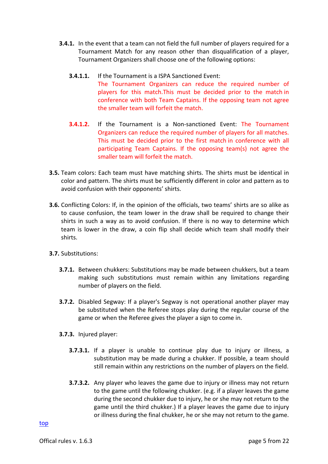- **3.4.1.** In the event that a team can not field the full number of players required for a Tournament Match for any reason other than disqualification of a player, Tournament Organizers shall choose one of the following options:
	- **3.4.1.1.** If the Tournament is a ISPA Sanctioned Event: The Tournament Organizers can reduce the required number of players for this match. This must be decided prior to the match in conference with both Team Captains. If the opposing team not agree the smaller team will forfeit the match.
	- **3.4.1.2.** If the Tournament is a Non-sanctioned Event: The Tournament Organizers can reduce the required number of players for all matches. This must be decided prior to the first match in conference with all participating Team Captains. If the opposing team(s) not agree the smaller team will forfeit the match.
- **3.5.** Team colors: Each team must have matching shirts. The shirts must be identical in color and pattern. The shirts must be sufficiently different in color and pattern as to avoid confusion with their opponents' shirts.
- **3.6.** Conflicting Colors: If, in the opinion of the officials, two teams' shirts are so alike as to cause confusion, the team lower in the draw shall be required to change their shirts in such a way as to avoid confusion. If there is no way to determine which team is lower in the draw, a coin flip shall decide which team shall modify their shirts.
- **3.7.** Substitutions:
	- **3.7.1.** Between chukkers: Substitutions may be made between chukkers, but a team making such substitutions must remain within any limitations regarding number of players on the field.
	- **3.7.2.** Disabled Segway: If a player's Segway is not operational another player may be substituted when the Referee stops play during the regular course of the game or when the Referee gives the player a sign to come in.
	- **3.7.3.** Injured player:
		- **3.7.3.1.** If a player is unable to continue play due to injury or illness, a substitution may be made during a chukker. If possible, a team should still remain within any restrictions on the number of players on the field.
		- **3.7.3.2.** Any player who leaves the game due to injury or illness may not return to the game until the following chukker. (e.g. if a player leaves the game during the second chukker due to injury, he or she may not return to the game until the third chukker.) If a player leaves the game due to injury or illness during the final chukker, he or she may not return to the game.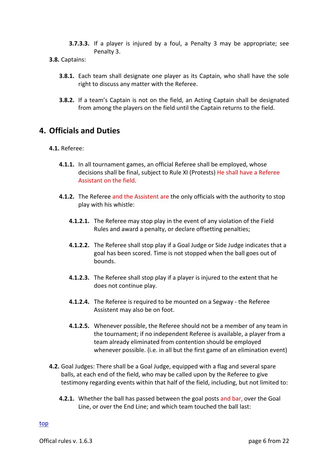- **3.7.3.3.** If a player is injured by a foul, a Penalty 3 may be appropriate; see Penalty 3.
- **3.8.** Captains:
	- **3.8.1.** Each team shall designate one player as its Captain, who shall have the sole right to discuss any matter with the Referee.
	- **3.8.2.** If a team's Captain is not on the field, an Acting Captain shall be designated from among the players on the field until the Captain returns to the field.

# **4. Officials and Duties**

#### **4.1.** Referee:

- **4.1.1.** In all tournament games, an official Referee shall be employed, whose decisions shall be final, subject to Rule XI (Protests) He shall have a Referee Assistant on the field.
- **4.1.2.** The Referee and the Assistent are the only officials with the authority to stop play with his whistle:
	- **4.1.2.1.** The Referee may stop play in the event of any violation of the Field Rules and award a penalty, or declare offsetting penalties;
	- **4.1.2.2.** The Referee shall stop play if a Goal Judge or Side Judge indicates that a goal has been scored. Time is not stopped when the ball goes out of bounds.
	- **4.1.2.3.** The Referee shall stop play if a player is injured to the extent that he does not continue play.
	- **4.1.2.4.** The Referee is required to be mounted on a Segway the Referee Assistent may also be on foot.
	- **4.1.2.5.** Whenever possible, the Referee should not be a member of any team in the tournament; if no independent Referee is available, a player from a team already eliminated from contention should be employed whenever possible. (i.e. in all but the first game of an elimination event)
- **4.2.** Goal Judges: There shall be a Goal Judge, equipped with a flag and several spare balls, at each end of the field, who may be called upon by the Referee to give testimony regarding events within that half of the field, including, but not limited to:
	- **4.2.1.** Whether the ball has passed between the goal posts and bar, over the Goal Line, or over the End Line; and which team touched the ball last: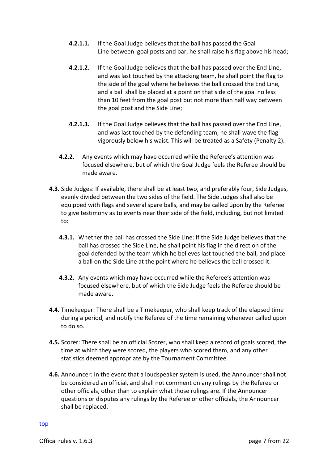- **4.2.1.1.** If the Goal Judge believes that the ball has passed the Goal Line between goal posts and bar, he shall raise his flag above his head;
- **4.2.1.2.** If the Goal Judge believes that the ball has passed over the End Line, and was last touched by the attacking team, he shall point the flag to the side of the goal where he believes the ball crossed the End Line, and a ball shall be placed at a point on that side of the goal no less than 10 feet from the goal post but not more than half way between the goal post and the Side Line;
- **4.2.1.3.** If the Goal Judge believes that the ball has passed over the End Line, and was last touched by the defending team, he shall wave the flag vigorously below his waist. This will be treated as a Safety (Penalty 2).
- **4.2.2.** Any events which may have occurred while the Referee's attention was focused elsewhere, but of which the Goal Judge feels the Referee should be made aware.
- **4.3.** Side Judges: If available, there shall be at least two, and preferably four, Side Judges, evenly divided between the two sides of the field. The Side Judges shall also be equipped with flags and several spare balls, and may be called upon by the Referee to give testimony as to events near their side of the field, including, but not limited to:
	- **4.3.1.** Whether the ball has crossed the Side Line: If the Side Judge believes that the ball has crossed the Side Line, he shall point his flag in the direction of the goal defended by the team which he believes last touched the ball, and place a ball on the Side Line at the point where he believes the ball crossed it.
	- **4.3.2.** Any events which may have occurred while the Referee's attention was focused elsewhere, but of which the Side Judge feels the Referee should be made aware
- **4.4.** Timekeeper: There shall be a Timekeeper, who shall keep track of the elapsed time during a period, and notify the Referee of the time remaining whenever called upon to do so.
- **4.5.** Scorer: There shall be an official Scorer, who shall keep a record of goals scored, the time at which they were scored, the players who scored them, and any other statistics deemed appropriate by the Tournament Committee.
- **4.6.** Announcer: In the event that a loudspeaker system is used, the Announcer shall not be considered an official, and shall not comment on any rulings by the Referee or other officials, other than to explain what those rulings are. If the Announcer questions or disputes any rulings by the Referee or other officials, the Announcer shall be replaced.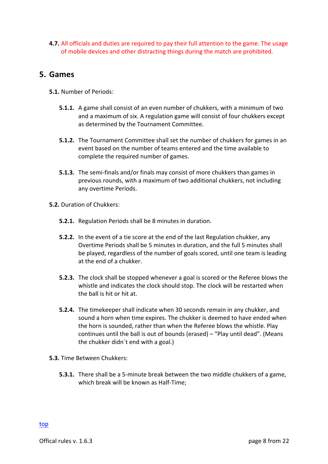**4.7.** All officials and duties are required to pay their full attention to the game. The usage of mobile devices and other distracting things during the match are prohibited.

#### **5. Games**

- **5.1.** Number of Periods:
	- **5.1.1.** A game shall consist of an even number of chukkers, with a minimum of two and a maximum of six. A regulation game will consist of four chukkers except as determined by the Tournament Committee.
	- **5.1.2.** The Tournament Committee shall set the number of chukkers for games in an event based on the number of teams entered and the time available to complete the required number of games.
	- **5.1.3.** The semi-finals and/or finals may consist of more chukkers than games in previous rounds, with a maximum of two additional chukkers, not including any overtime Periods.
- **5.2.** Duration of Chukkers:
	- **5.2.1.** Regulation Periods shall be 8 minutes in duration.
	- **5.2.2.** In the event of a tie score at the end of the last Regulation chukker, any Overtime Periods shall be 5 minutes in duration, and the full 5 minutes shall be played, regardless of the number of goals scored, until one team is leading at the end of a chukker.
	- **5.2.3.** The clock shall be stopped whenever a goal is scored or the Referee blows the whistle and indicates the clock should stop. The clock will be restarted when the hall is hit or hit at.
	- **5.2.4.** The timekeeper shall indicate when 30 seconds remain in any chukker, and sound a horn when time expires. The chukker is deemed to have ended when the horn is sounded, rather than when the Referee blows the whistle. Play continues until the ball is out of bounds (erased) – "Play until dead". (Means the chukker didn't end with a goal.)
- **5.3.** Time Between Chukkers:
	- **5.3.1.** There shall be a 5-minute break between the two middle chukkers of a game, which break will be known as Half-Time;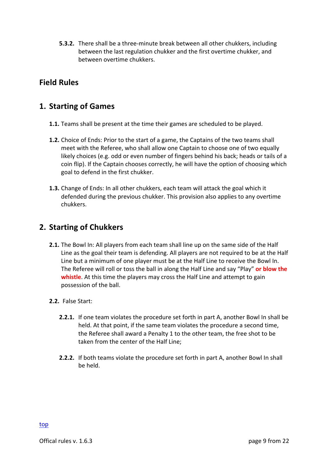**5.3.2.** There shall be a three-minute break between all other chukkers, including between the last regulation chukker and the first overtime chukker, and between overtime chukkers.

## **Field Rules**

#### **1. Starting of Games**

- **1.1.** Teams shall be present at the time their games are scheduled to be played.
- **1.2.** Choice of Ends: Prior to the start of a game, the Captains of the two teams shall meet with the Referee, who shall allow one Captain to choose one of two equally likely choices (e.g. odd or even number of fingers behind his back; heads or tails of a coin flip). If the Captain chooses correctly, he will have the option of choosing which goal to defend in the first chukker.
- **1.3.** Change of Ends: In all other chukkers, each team will attack the goal which it defended during the previous chukker. This provision also applies to any overtime chukkers.

#### **2. Starting of Chukkers**

- **2.1.** The Bowl In: All players from each team shall line up on the same side of the Half Line as the goal their team is defending. All players are not required to be at the Half Line but a minimum of one player must be at the Half Line to receive the Bowl In. The Referee will roll or toss the ball in along the Half Line and say "Play" or blow the **whistle**. At this time the players may cross the Half Line and attempt to gain possession of the ball.
- 2.2. False Start:
	- **2.2.1.** If one team violates the procedure set forth in part A, another Bowl In shall be held. At that point, if the same team violates the procedure a second time, the Referee shall award a Penalty 1 to the other team, the free shot to be taken from the center of the Half Line:
	- **2.2.2.** If both teams violate the procedure set forth in part A, another Bowl In shall be held.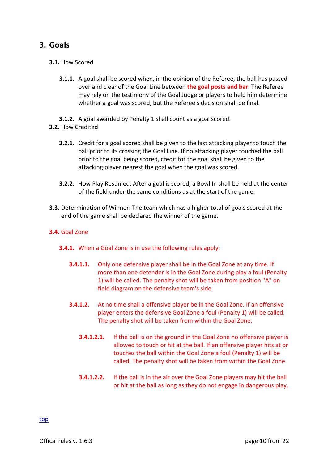## **3. Goals**

#### **3.1.** How Scored

- **3.1.1.** A goal shall be scored when, in the opinion of the Referee, the ball has passed over and clear of the Goal Line between **the goal posts and bar**. The Referee may rely on the testimony of the Goal Judge or players to help him determine whether a goal was scored, but the Referee's decision shall be final.
- **3.1.2.** A goal awarded by Penalty 1 shall count as a goal scored.
- **3.2.** How Credited
	- **3.2.1.** Credit for a goal scored shall be given to the last attacking player to touch the ball prior to its crossing the Goal Line. If no attacking player touched the ball prior to the goal being scored, credit for the goal shall be given to the attacking player nearest the goal when the goal was scored.
	- **3.2.2.** How Play Resumed: After a goal is scored, a Bowl In shall be held at the center of the field under the same conditions as at the start of the game.
- **3.3.** Determination of Winner: The team which has a higher total of goals scored at the end of the game shall be declared the winner of the game.

#### **3.4.** Goal Zone

- **3.4.1.** When a Goal Zone is in use the following rules apply:
	- **3.4.1.1.** Only one defensive player shall be in the Goal Zone at any time. If more than one defender is in the Goal Zone during play a foul (Penalty 1) will be called. The penalty shot will be taken from position "A" on field diagram on the defensive team's side.
	- **3.4.1.2.** At no time shall a offensive player be in the Goal Zone. If an offensive player enters the defensive Goal Zone a foul (Penalty 1) will be called. The penalty shot will be taken from within the Goal Zone.
		- **3.4.1.2.1.** If the ball is on the ground in the Goal Zone no offensive player is allowed to touch or hit at the ball. If an offensive player hits at or touches the ball within the Goal Zone a foul (Penalty 1) will be called. The penalty shot will be taken from within the Goal Zone.
		- **3.4.1.2.2.** If the ball is in the air over the Goal Zone players may hit the ball or hit at the ball as long as they do not engage in dangerous play.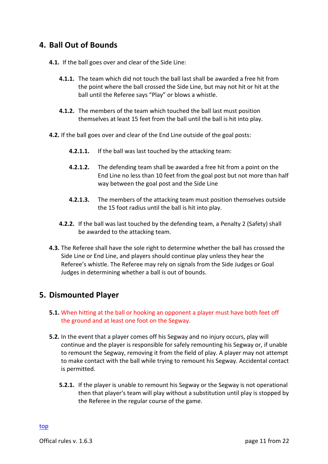## **4. Ball Out of Bounds**

- **4.1.** If the ball goes over and clear of the Side Line:
	- **4.1.1.** The team which did not touch the ball last shall be awarded a free hit from the point where the ball crossed the Side Line, but may not hit or hit at the ball until the Referee says "Play" or blows a whistle.
	- **4.1.2.** The members of the team which touched the ball last must position themselves at least 15 feet from the ball until the ball is hit into play.
- **4.2.** If the ball goes over and clear of the End Line outside of the goal posts:
	- **4.2.1.1.** If the ball was last touched by the attacking team:
	- **4.2.1.2.** The defending team shall be awarded a free hit from a point on the End Line no less than 10 feet from the goal post but not more than half way between the goal post and the Side Line
	- **4.2.1.3.** The members of the attacking team must position themselves outside the 15 foot radius until the ball is hit into play.
	- **4.2.2.** If the ball was last touched by the defending team, a Penalty 2 (Safety) shall be awarded to the attacking team.
- **4.3.** The Referee shall have the sole right to determine whether the ball has crossed the Side Line or End Line, and players should continue play unless they hear the Referee's whistle. The Referee may rely on signals from the Side Judges or Goal Judges in determining whether a ball is out of bounds.

#### **5. Dismounted Player**

- **5.1.** When hitting at the ball or hooking an opponent a player must have both feet off the ground and at least one foot on the Segway.
- **5.2.** In the event that a player comes off his Segway and no injury occurs, play will continue and the player is responsible for safely remounting his Segway or, if unable to remount the Segway, removing it from the field of play. A player may not attempt to make contact with the ball while trying to remount his Segway. Accidental contact is permitted.
	- **5.2.1.** If the player is unable to remount his Segway or the Segway is not operational then that player's team will play without a substitution until play is stopped by the Referee in the regular course of the game.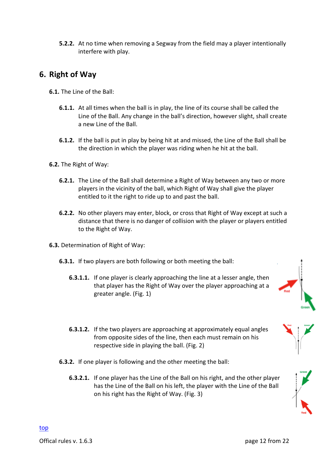**5.2.2.** At no time when removing a Segway from the field may a player intentionally interfere with play.

# **6. Right of Way**

- **6.1.** The Line of the Ball:
	- **6.1.1.** At all times when the ball is in play, the line of its course shall be called the Line of the Ball. Any change in the ball's direction, however slight, shall create a new Line of the Ball.
	- **6.1.2.** If the ball is put in play by being hit at and missed, the Line of the Ball shall be the direction in which the player was riding when he hit at the ball.
- **6.2.** The Right of Way:
	- **6.2.1.** The Line of the Ball shall determine a Right of Way between any two or more players in the vicinity of the ball, which Right of Way shall give the player entitled to it the right to ride up to and past the ball.
	- **6.2.2.** No other players may enter, block, or cross that Right of Way except at such a distance that there is no danger of collision with the player or players entitled to the Right of Way.
- **6.3.** Determination of Right of Way:
	- **6.3.1.** If two players are both following or both meeting the ball:
		- **6.3.1.1.** If one player is clearly approaching the line at a lesser angle, then that player has the Right of Way over the player approaching at a greater angle. (Fig. 1)



- **6.3.1.2.** If the two players are approaching at approximately equal angles from opposite sides of the line, then each must remain on his respective side in playing the ball. (Fig. 2)
- **6.3.2.** If one player is following and the other meeting the ball:
	- **6.3.2.1.** If one player has the Line of the Ball on his right, and the other player has the Line of the Ball on his left, the player with the Line of the Ball on his right has the Right of Way. (Fig. 3)

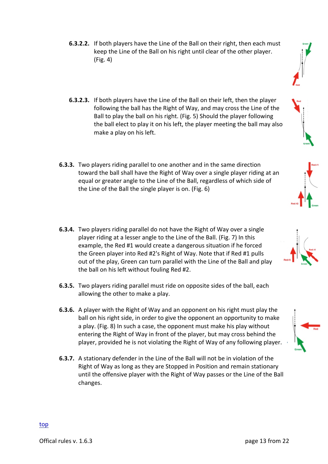- **6.3.2.2.** If both players have the Line of the Ball on their right, then each must keep the Line of the Ball on his right until clear of the other player.  $(Fig. 4)$
- **6.3.2.3.** If both players have the Line of the Ball on their left, then the player following the ball has the Right of Way, and may cross the Line of the Ball to play the ball on his right. (Fig. 5) Should the player following the ball elect to play it on his left, the player meeting the ball may also make a play on his left.
- **6.3.3.** Two players riding parallel to one another and in the same direction toward the ball shall have the Right of Way over a single player riding at an equal or greater angle to the Line of the Ball, regardless of which side of the Line of the Ball the single player is on. (Fig. 6)
- **6.3.4.** Two players riding parallel do not have the Right of Way over a single player riding at a lesser angle to the Line of the Ball. (Fig. 7) In this example, the Red #1 would create a dangerous situation if he forced the Green player into Red #2's Right of Way. Note that if Red #1 pulls out of the play, Green can turn parallel with the Line of the Ball and play the ball on his left without fouling Red #2.
- **6.3.5.** Two players riding parallel must ride on opposite sides of the ball, each allowing the other to make a play.
- **6.3.6.** A player with the Right of Way and an opponent on his right must play the ball on his right side, in order to give the opponent an opportunity to make a play. (Fig. 8) In such a case, the opponent must make his play without entering the Right of Way in front of the player, but may cross behind the player, provided he is not violating the Right of Way of any following player.
- **6.3.7.** A stationary defender in the Line of the Ball will not be in violation of the Right of Way as long as they are Stopped in Position and remain stationary until the offensive player with the Right of Way passes or the Line of the Ball changes.







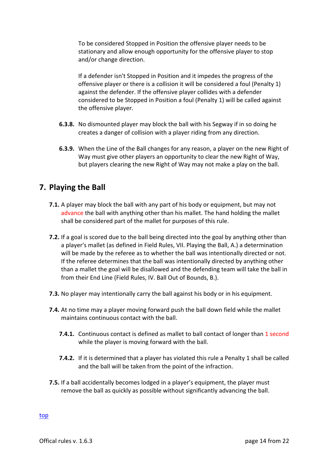To be considered Stopped in Position the offensive player needs to be stationary and allow enough opportunity for the offensive player to stop and/or change direction.

If a defender isn't Stopped in Position and it impedes the progress of the offensive player or there is a collision it will be considered a foul (Penalty 1) against the defender. If the offensive player collides with a defender considered to be Stopped in Position a foul (Penalty 1) will be called against the offensive player.

- **6.3.8.** No dismounted player may block the ball with his Segway if in so doing he creates a danger of collision with a player riding from any direction.
- **6.3.9.** When the Line of the Ball changes for any reason, a player on the new Right of Way must give other players an opportunity to clear the new Right of Way, but players clearing the new Right of Way may not make a play on the ball.

# **7. Playing the Ball**

- **7.1.** A player may block the ball with any part of his body or equipment, but may not advance the ball with anything other than his mallet. The hand holding the mallet shall be considered part of the mallet for purposes of this rule.
- **7.2.** If a goal is scored due to the ball being directed into the goal by anything other than a player's mallet (as defined in Field Rules, VII. Playing the Ball, A.) a determination will be made by the referee as to whether the ball was intentionally directed or not. If the referee determines that the ball was intentionally directed by anything other than a mallet the goal will be disallowed and the defending team will take the ball in from their End Line (Field Rules, IV. Ball Out of Bounds, B.).
- **7.3.** No player may intentionally carry the ball against his body or in his equipment.
- **7.4.** At no time may a player moving forward push the ball down field while the mallet maintains continuous contact with the ball.
	- **7.4.1.** Continuous contact is defined as mallet to ball contact of longer than 1 second while the player is moving forward with the ball.
	- **7.4.2.** If it is determined that a player has violated this rule a Penalty 1 shall be called and the ball will be taken from the point of the infraction.
- **7.5.** If a ball accidentally becomes lodged in a player's equipment, the player must remove the ball as quickly as possible without significantly advancing the ball.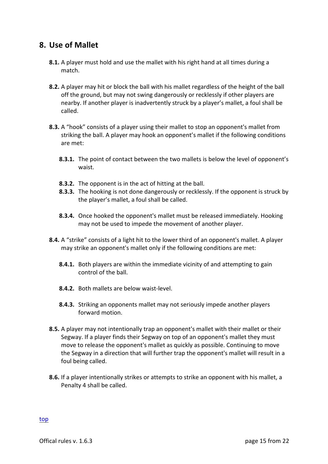#### **8. Use of Mallet**

- **8.1.** A player must hold and use the mallet with his right hand at all times during a match.
- **8.2.** A player may hit or block the ball with his mallet regardless of the height of the ball off the ground, but may not swing dangerously or recklessly if other players are nearby. If another player is inadvertently struck by a player's mallet, a foul shall be called.
- **8.3.** A "hook" consists of a player using their mallet to stop an opponent's mallet from striking the ball. A player may hook an opponent's mallet if the following conditions are met:
	- **8.3.1.** The point of contact between the two mallets is below the level of opponent's waist.
	- **8.3.2.** The opponent is in the act of hitting at the ball.
	- **8.3.3.** The hooking is not done dangerously or recklessly. If the opponent is struck by the player's mallet, a foul shall be called.
	- **8.3.4.** Once hooked the opponent's mallet must be released immediately. Hooking may not be used to impede the movement of another player.
- **8.4.** A "strike" consists of a light hit to the lower third of an opponent's mallet. A player may strike an opponent's mallet only if the following conditions are met:
	- **8.4.1.** Both players are within the immediate vicinity of and attempting to gain control of the ball.
	- **8.4.2.** Both mallets are below waist-level.
	- **8.4.3.** Striking an opponents mallet may not seriously impede another players forward motion.
- **8.5.** A player may not intentionally trap an opponent's mallet with their mallet or their Segway. If a player finds their Segway on top of an opponent's mallet they must move to release the opponent's mallet as quickly as possible. Continuing to move the Segway in a direction that will further trap the opponent's mallet will result in a foul being called.
- **8.6.** If a player intentionally strikes or attempts to strike an opponent with his mallet, a Penalty 4 shall be called.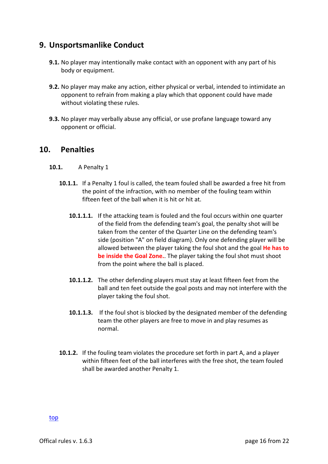#### **9. Unsportsmanlike Conduct**

- **9.1.** No player may intentionally make contact with an opponent with any part of his body or equipment.
- **9.2.** No player may make any action, either physical or verbal, intended to intimidate an opponent to refrain from making a play which that opponent could have made without violating these rules.
- **9.3.** No player may verbally abuse any official, or use profane language toward any opponent or official.

#### **10. Penalties**

- **10.1.** A Penalty 1
	- **10.1.1.** If a Penalty 1 foul is called, the team fouled shall be awarded a free hit from the point of the infraction, with no member of the fouling team within fifteen feet of the ball when it is hit or hit at.
		- **10.1.1.1.** If the attacking team is fouled and the foul occurs within one quarter of the field from the defending team's goal, the penalty shot will be taken from the center of the Quarter Line on the defending team's side (position "A" on field diagram). Only one defending player will be allowed between the player taking the foul shot and the goal **He has to be inside the Goal Zone.**. The player taking the foul shot must shoot from the point where the ball is placed.
		- **10.1.1.2.** The other defending players must stay at least fifteen feet from the ball and ten feet outside the goal posts and may not interfere with the player taking the foul shot.
		- **10.1.1.3.** If the foul shot is blocked by the designated member of the defending team the other players are free to move in and play resumes as normal.
	- **10.1.2.** If the fouling team violates the procedure set forth in part A, and a player within fifteen feet of the ball interferes with the free shot, the team fouled shall be awarded another Penalty 1.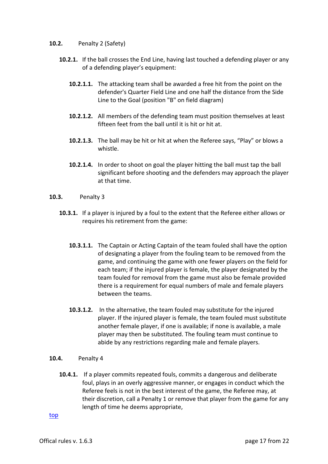#### **10.2.** Penalty 2 (Safety)

- **10.2.1.** If the ball crosses the End Line, having last touched a defending player or any of a defending player's equipment:
	- **10.2.1.1.** The attacking team shall be awarded a free hit from the point on the defender's Quarter Field Line and one half the distance from the Side Line to the Goal (position "B" on field diagram)
	- **10.2.1.2.** All members of the defending team must position themselves at least fifteen feet from the ball until it is hit or hit at.
	- **10.2.1.3.** The ball may be hit or hit at when the Referee says, "Play" or blows a whistle.
	- **10.2.1.4.** In order to shoot on goal the player hitting the ball must tap the ball significant before shooting and the defenders may approach the player at that time.
- **10.3.** Penalty 3
	- **10.3.1.** If a player is injured by a foul to the extent that the Referee either allows or requires his retirement from the game:
		- **10.3.1.1.** The Captain or Acting Captain of the team fouled shall have the option of designating a player from the fouling team to be removed from the game, and continuing the game with one fewer players on the field for each team; if the injured player is female, the player designated by the team fouled for removal from the game must also be female provided there is a requirement for equal numbers of male and female players between the teams.
		- **10.3.1.2.** In the alternative, the team fouled may substitute for the injured player. If the injured player is female, the team fouled must substitute another female player, if one is available; if none is available, a male player may then be substituted. The fouling team must continue to abide by any restrictions regarding male and female players.
- **10.4.** Penalty 4
	- **10.4.1.** If a player commits repeated fouls, commits a dangerous and deliberate foul, plays in an overly aggressive manner, or engages in conduct which the Referee feels is not in the best interest of the game, the Referee may, at their discretion, call a Penalty 1 or remove that player from the game for any length of time he deems appropriate,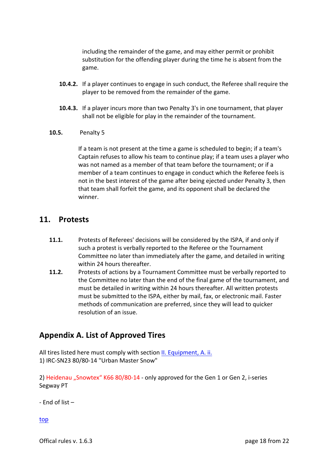including the remainder of the game, and may either permit or prohibit substitution for the offending player during the time he is absent from the game.

- **10.4.2.** If a player continues to engage in such conduct, the Referee shall require the player to be removed from the remainder of the game.
- **10.4.3.** If a player incurs more than two Penalty 3's in one tournament, that player shall not be eligible for play in the remainder of the tournament.
- **10.5.** Penalty 5

If a team is not present at the time a game is scheduled to begin; if a team's Captain refuses to allow his team to continue play; if a team uses a player who was not named as a member of that team before the tournament; or if a member of a team continues to engage in conduct which the Referee feels is not in the best interest of the game after being ejected under Penalty 3, then that team shall forfeit the game, and its opponent shall be declared the winner.

#### **11. Protests**

- **11.1.** Protests of Referees' decisions will be considered by the ISPA, if and only if such a protest is verbally reported to the Referee or the Tournament Committee no later than immediately after the game, and detailed in writing within 24 hours thereafter.
- **11.2.** Protests of actions by a Tournament Committee must be verbally reported to the Committee no later than the end of the final game of the tournament, and must be detailed in writing within 24 hours thereafter. All written protests must be submitted to the ISPA, either by mail, fax, or electronic mail. Faster methods of communication are preferred, since they will lead to quicker resolution of an issue.

#### **Appendix A. List of Approved Tires**

All tires listed here must comply with section II. Equipment, A. ii. 1) IRC-SN23 80/80-14 "Urban Master Snow"

2) Heidenau "Snowtex" K66 80/80-14 - only approved for the Gen 1 or Gen 2, i-series Segway PT

 $-$  Fnd of list  $-$ 

top

Offical rules v. 1.6.3 **page 18** from 22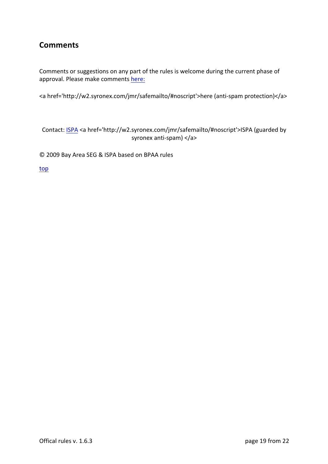# **Comments**

Comments or suggestions on any part of the rules is welcome during the current phase of approval. Please make comments here:

<a href='http://w2.syronex.com/jmr/safemailto/#noscript'>here (anti-spam protection)</a>

Contact: ISPA <a href='http://w2.syronex.com/jmr/safemailto/#noscript'>ISPA (guarded by syronex anti-spam) </a>

© 2009 Bay Area SEG & ISPA based on BPAA rules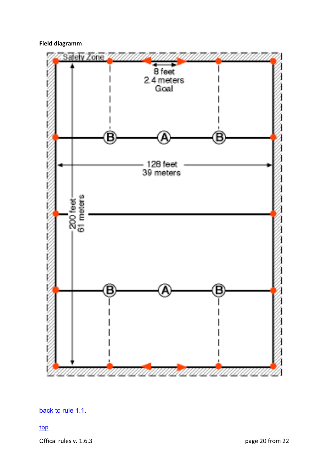#### **Field diagramm**



back to rule 1.1.

top

Offical rules v. 1.6.3 **page 20 from 22**